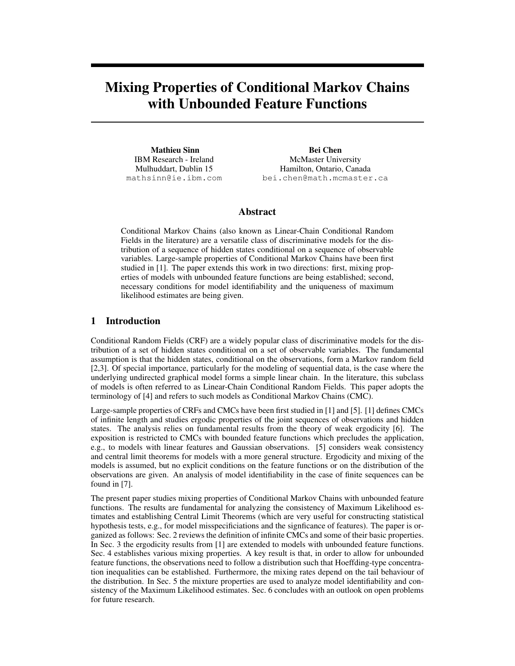# Mixing Properties of Conditional Markov Chains with Unbounded Feature Functions

Mathieu Sinn IBM Research - Ireland Mulhuddart, Dublin 15 mathsinn@ie.ibm.com

Bei Chen McMaster University Hamilton, Ontario, Canada bei.chen@math.mcmaster.ca

### Abstract

Conditional Markov Chains (also known as Linear-Chain Conditional Random Fields in the literature) are a versatile class of discriminative models for the distribution of a sequence of hidden states conditional on a sequence of observable variables. Large-sample properties of Conditional Markov Chains have been first studied in [1]. The paper extends this work in two directions: first, mixing properties of models with unbounded feature functions are being established; second, necessary conditions for model identifiability and the uniqueness of maximum likelihood estimates are being given.

## 1 Introduction

Conditional Random Fields (CRF) are a widely popular class of discriminative models for the distribution of a set of hidden states conditional on a set of observable variables. The fundamental assumption is that the hidden states, conditional on the observations, form a Markov random field [2,3]. Of special importance, particularly for the modeling of sequential data, is the case where the underlying undirected graphical model forms a simple linear chain. In the literature, this subclass of models is often referred to as Linear-Chain Conditional Random Fields. This paper adopts the terminology of [4] and refers to such models as Conditional Markov Chains (CMC).

Large-sample properties of CRFs and CMCs have been first studied in [1] and [5]. [1] defines CMCs of infinite length and studies ergodic properties of the joint sequences of observations and hidden states. The analysis relies on fundamental results from the theory of weak ergodicity [6]. The exposition is restricted to CMCs with bounded feature functions which precludes the application, e.g., to models with linear features and Gaussian observations. [5] considers weak consistency and central limit theorems for models with a more general structure. Ergodicity and mixing of the models is assumed, but no explicit conditions on the feature functions or on the distribution of the observations are given. An analysis of model identifiability in the case of finite sequences can be found in [7].

The present paper studies mixing properties of Conditional Markov Chains with unbounded feature functions. The results are fundamental for analyzing the consistency of Maximum Likelihood estimates and establishing Central Limit Theorems (which are very useful for constructing statistical hypothesis tests, e.g., for model misspecificiations and the signficance of features). The paper is organized as follows: Sec. 2 reviews the definition of infinite CMCs and some of their basic properties. In Sec. 3 the ergodicity results from [1] are extended to models with unbounded feature functions. Sec. 4 establishes various mixing properties. A key result is that, in order to allow for unbounded feature functions, the observations need to follow a distribution such that Hoeffding-type concentration inequalities can be established. Furthermore, the mixing rates depend on the tail behaviour of the distribution. In Sec. 5 the mixture properties are used to analyze model identifiability and consistency of the Maximum Likelihood estimates. Sec. 6 concludes with an outlook on open problems for future research.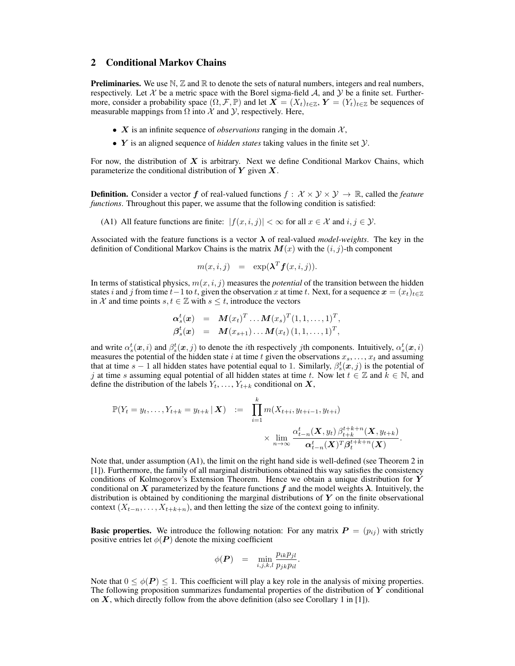### 2 Conditional Markov Chains

**Preliminaries.** We use  $\mathbb{N}, \mathbb{Z}$  and  $\mathbb{R}$  to denote the sets of natural numbers, integers and real numbers, respectively. Let  $\mathcal X$  be a metric space with the Borel sigma-field  $\mathcal A$ , and  $\mathcal Y$  be a finite set. Furthermore, consider a probability space  $(\Omega, \mathcal{F}, \mathbb{P})$  and let  $\mathbf{X} = (X_t)_{t \in \mathbb{Z}}$ ,  $\mathbf{Y} = (Y_t)_{t \in \mathbb{Z}}$  be sequences of measurable mappings from  $\Omega$  into  $\mathcal X$  and  $\mathcal Y$ , respectively. Here,

- $X$  is an infinite sequence of *observations* ranging in the domain  $X$ ,
- Y is an aligned sequence of *hidden states* taking values in the finite set Y.

For now, the distribution of  $X$  is arbitrary. Next we define Conditional Markov Chains, which parameterize the conditional distribution of  $Y$  given  $X$ .

**Definition.** Consider a vector f of real-valued functions  $f : \mathcal{X} \times \mathcal{Y} \times \mathcal{Y} \rightarrow \mathbb{R}$ , called the *feature functions*. Throughout this paper, we assume that the following condition is satisfied:

(A1) All feature functions are finite:  $|f(x, i, j)| < \infty$  for all  $x \in \mathcal{X}$  and  $i, j \in \mathcal{Y}$ .

Associated with the feature functions is a vector  $\lambda$  of real-valued *model-weights*. The key in the definition of Conditional Markov Chains is the matrix  $M(x)$  with the  $(i, j)$ -th component

$$
m(x,i,j) = \exp(\boldsymbol{\lambda}^T \boldsymbol{f}(x,i,j)).
$$

In terms of statistical physics,  $m(x, i, j)$  measures the *potential* of the transition between the hidden states i and j from time  $t-1$  to t, given the observation x at time t. Next, for a sequence  $x = (x_t)_{t \in \mathbb{Z}}$ in X and time points  $s, t \in \mathbb{Z}$  with  $s \leq t$ , introduce the vectors

$$
\begin{array}{rcl}\n\alpha_s^t(x) & = & \bm{M}(x_t)^T \dots \bm{M}(x_s)^T (1, 1, \dots, 1)^T, \\
\beta_s^t(x) & = & \bm{M}(x_{s+1}) \dots \bm{M}(x_t) (1, 1, \dots, 1)^T,\n\end{array}
$$

and write  $\alpha_s^t(\bm{x}, i)$  and  $\beta_s^t(\bm{x}, j)$  to denote the *i*th respectively *j*th components. Intuitively,  $\alpha_s^t(\bm{x}, i)$ measures the potential of the hidden state i at time t given the observations  $x_s, \ldots, x_t$  and assuming that at time  $s - 1$  all hidden states have potential equal to 1. Similarly,  $\beta_s^t(x, j)$  is the potential of j at time s assuming equal potential of all hidden states at time t. Now let  $t \in \mathbb{Z}$  and  $k \in \mathbb{N}$ , and define the distribution of the labels  $Y_t, \ldots, Y_{t+k}$  conditional on  $X$ ,

$$
\mathbb{P}(Y_t = y_t, \dots, Y_{t+k} = y_{t+k} | \mathbf{X}) = \prod_{i=1}^k m(X_{t+i}, y_{t+i-1}, y_{t+i})
$$
  
 
$$
\times \lim_{n \to \infty} \frac{\alpha_{t-n}^t(\mathbf{X}, y_t) \beta_{t+k}^{t+k+n}(\mathbf{X}, y_{t+k})}{\alpha_{t-n}^t(\mathbf{X})^T \beta_t^{t+k+n}(\mathbf{X})}.
$$

Note that, under assumption (A1), the limit on the right hand side is well-defined (see Theorem 2 in [1]). Furthermore, the family of all marginal distributions obtained this way satisfies the consistency conditions of Kolmogorov's Extension Theorem. Hence we obtain a unique distribution for  $Y$ conditional on X parameterized by the feature functions  $f$  and the model weights  $\lambda$ . Intuitively, the distribution is obtained by conditioning the marginal distributions of  $Y$  on the finite observational context  $(X_{t-n},...,X_{t+k+n})$ , and then letting the size of the context going to infinity.

**Basic properties.** We introduce the following notation: For any matrix  $P = (p_{ij})$  with strictly positive entries let  $\phi(P)$  denote the mixing coefficient

$$
\phi(\boldsymbol{P}) = \min_{i,j,k,l} \frac{p_{ik}p_{jl}}{p_{jk}p_{il}}.
$$

Note that  $0 \leq \phi(P) \leq 1$ . This coefficient will play a key role in the analysis of mixing properties. The following proposition summarizes fundamental properties of the distribution of  $\boldsymbol{Y}$  conditional on  $X$ , which directly follow from the above definition (also see Corollary 1 in [1]).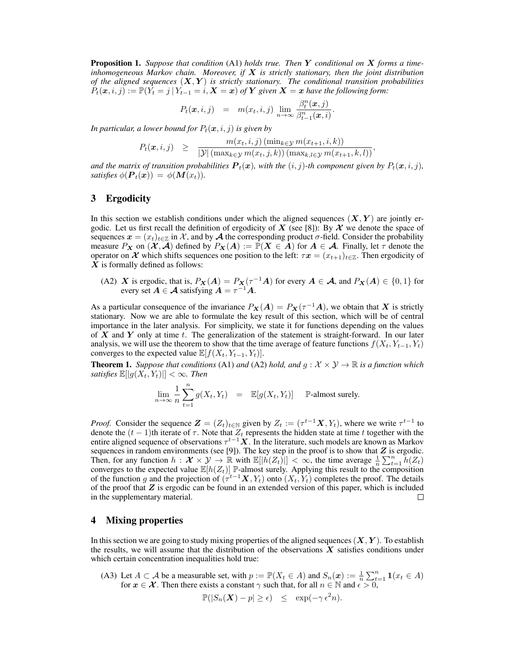Proposition 1. *Suppose that condition* (A1) *holds true. Then* Y *conditional on* X *forms a timeinhomogeneous Markov chain. Moreover, if* X *is strictly stationary, then the joint distribution of the aligned sequences* (X,Y ) *is strictly stationary. The conditional transition probabilities*  $P_t(x, i, j) := \mathbb{P}(Y_t = j | Y_{t-1} = i, \mathbf{X} = x)$  of Y given  $\mathbf{X} = x$  have the following form:

$$
P_t(\boldsymbol{x}, i, j) = m(x_t, i, j) \lim_{n \to \infty} \frac{\beta_t^n(\boldsymbol{x}, j)}{\beta_{t-1}^n(\boldsymbol{x}, i)}.
$$

*In particular, a lower bound for*  $P_t(\mathbf{x}, i, j)$  *is given by* 

$$
P_t(\boldsymbol{x}, i, j) \geq \frac{m(x_t, i, j) \left(\min_{k \in \mathcal{Y}} m(x_{t+1}, i, k)\right)}{|\mathcal{Y}| \left(\max_{k \in \mathcal{Y}} m(x_t, j, k)\right) \left(\max_{k,l \in \mathcal{Y}} m(x_{t+1}, k, l)\right)},
$$

and the matrix of transition probabilities  $P_t(x)$ , with the  $(i, j)$ -th component given by  $P_t(x, i, j)$ , *satisfies*  $\phi(\boldsymbol{P}_t(\boldsymbol{x})) = \phi(\boldsymbol{M}(x_t)).$ 

## 3 Ergodicity

In this section we establish conditions under which the aligned sequences  $(X, Y)$  are jointly ergodic. Let us first recall the definition of ergodicity of X (see [8]): By  $\mathcal X$  we denote the space of sequences  $x = (x_t)_{t \in \mathbb{Z}}$  in X, and by A the corresponding product  $\sigma$ -field. Consider the probability measure  $P_X$  on  $(X, \mathcal{A})$  defined by  $P_X(A) := \mathbb{P}(X \in \mathcal{A})$  for  $A \in \mathcal{A}$ . Finally, let  $\tau$  denote the operator on  $\mathcal X$  which shifts sequences one position to the left:  $\tau \mathbf x = (x_{t+1})_{t \in \mathbb{Z}}$ . Then ergodicity of  $\boldsymbol{X}$  is formally defined as follows:

(A2) X is ergodic, that is,  $P_X(A) = P_X(\tau^{-1}A)$  for every  $A \in \mathcal{A}$ , and  $P_X(A) \in \{0,1\}$  for every set  $A \in \mathcal{A}$  satisfying  $A = \tau^{-1}A$ .

As a particular consequence of the invariance  $P_X(A) = P_X(\tau^{-1}A)$ , we obtain that X is strictly stationary. Now we are able to formulate the key result of this section, which will be of central importance in the later analysis. For simplicity, we state it for functions depending on the values of  $X$  and  $Y$  only at time t. The generalization of the statement is straight-forward. In our later analysis, we will use the theorem to show that the time average of feature functions  $f(X_t, Y_{t-1}, Y_t)$ converges to the expected value  $E[f(X_t, Y_{t-1}, Y_t)].$ 

**Theorem 1.** *Suppose that conditions* (A1) *and* (A2) *hold, and*  $g: \mathcal{X} \times \mathcal{Y} \rightarrow \mathbb{R}$  *is a function which satisfies*  $\mathbb{E}[|g(X_t, Y_t)|] < \infty$ *. Then* 

$$
\lim_{n \to \infty} \frac{1}{n} \sum_{t=1}^{n} g(X_t, Y_t) = \mathbb{E}[g(X_t, Y_t)] \quad \mathbb{P}\text{-almost surely.}
$$

*Proof.* Consider the sequence  $\mathbf{Z} = (Z_t)_{t \in \mathbb{N}}$  given by  $Z_t := (\tau^{t-1} \mathbf{X}, Y_t)$ , where we write  $\tau^{t-1}$  to denote the  $(t - 1)$ th iterate of  $\tau$ . Note that  $Z_t$  represents the hidden state at time t together with the entire aligned sequence of observations  $\tau^{t-1}X$ . In the literature, such models are known as Markov sequences in random environments (see [9]). The key step in the proof is to show that  $Z$  is ergodic. Then, for any function  $h: \mathcal{X} \times \mathcal{Y} \to \mathbb{R}$  with  $\mathbb{E}[|h(Z_t)|] < \infty$ , the time average  $\frac{1}{n} \sum_{t=1}^n h(Z_t)$ converges to the expected value  $\mathbb{E}[h(Z_t)]$  P-almost surely. Applying this result to the composition of the function g and the projection of  $(\tau^{t-1}X, Y_t)$  onto  $(X_t, Y_t)$  completes the proof. The details of the proof that  $Z$  is ergodic can be found in an extended version of this paper, which is included in the supplementary material.  $\Box$ 

## 4 Mixing properties

In this section we are going to study mixing properties of the aligned sequences  $(X, Y)$ . To establish the results, we will assume that the distribution of the observations  $X$  satisfies conditions under which certain concentration inequalities hold true:

(A3) Let  $A \subset \mathcal{A}$  be a measurable set, with  $p := \mathbb{P}(X_t \in \mathcal{A})$  and  $S_n(x) := \frac{1}{n} \sum_{t=1}^n \mathbf{1}(x_t \in \mathcal{A})$ for  $x \in \mathcal{X}$ . Then there exists a constant  $\gamma$  such that, for all  $n \in \mathbb{N}$  and  $\epsilon > 0$ ,

$$
\mathbb{P}(|S_n(\boldsymbol{X}) - p| \ge \epsilon) \le \exp(-\gamma \epsilon^2 n).
$$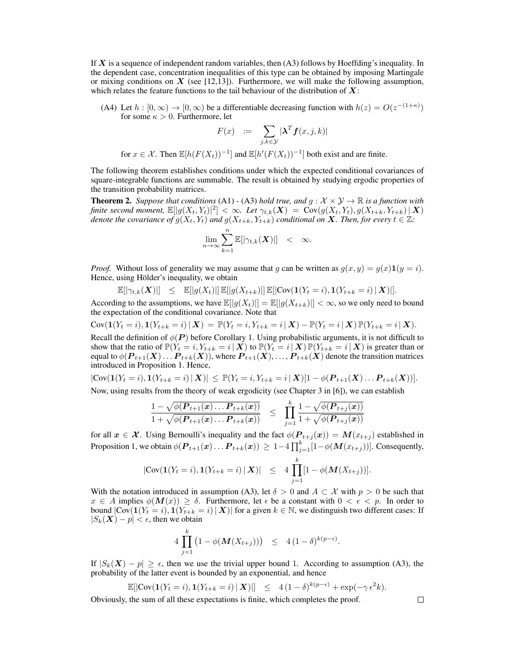If  $X$  is a sequence of independent random variables, then  $(A3)$  follows by Hoeffding's inequality. In the dependent case, concentration inequalities of this type can be obtained by imposing Martingale or mixing conditions on  $X$  (see [12,13]). Furthermore, we will make the following assumption, which relates the feature functions to the tail behaviour of the distribution of  $X$ :

(A4) Let  $h : [0, \infty) \to [0, \infty)$  be a differentiable decreasing function with  $h(z) = O(z^{-(1+\kappa)})$ for some  $\kappa > 0$ . Furthermore, let

$$
F(x) := \sum_{j,k \in \mathcal{Y}} |\boldsymbol{\lambda}^T \boldsymbol{f}(x,j,k)|
$$

for  $x \in \mathcal{X}$ . Then  $\mathbb{E}[h(F(X_t))^{-1}]$  and  $\mathbb{E}[h'(F(X_t))^{-1}]$  both exist and are finite.

The following theorem establishes conditions under which the expected conditional covariances of square-integrable functions are summable. The result is obtained by studying ergodic properties of the transition probability matrices.

**Theorem 2.** Suppose that conditions (A1) - (A3) hold true, and  $g : \mathcal{X} \times \mathcal{Y} \rightarrow \mathbb{R}$  is a function with *finite second moment,*  $\mathbb{E}[|g(X_t,Y_t)|^2]<\infty$ . Let  $\gamma_{t,k}(\boldsymbol{X})\ =\ \mathrm{Cov}(g(X_t,Y_t), g(X_{t+k}, Y_{t+k})\,|\,\boldsymbol{X})$ *denote the covariance of*  $g(X_t, Y_t)$  *and*  $g(X_{t+k}, Y_{t+k})$  *conditional on* X*. Then, for every*  $t \in \mathbb{Z}$ *:* 

$$
\lim_{n\to\infty}\sum_{k=1}^n\mathbb{E}[|\gamma_{t,k}(\boldsymbol{X})|] < \infty.
$$

*Proof.* Without loss of generality we may assume that g can be written as  $g(x, y) = g(x) \mathbf{1}(y = i)$ . Hence, using Hölder's inequality, we obtain

 $\label{eq:estim} \mathbb{E}[|\gamma_{t,k}(\boldsymbol{X})|] \quad \leq \quad \mathbb{E}[|g(X_t)|] \, \mathbb{E}[|g(X_{t+k})|] \, \mathbb{E}[|\text{Cov}(\boldsymbol{1}(Y_t=i),\boldsymbol{1}(Y_{t+k}=i) \,|\, \boldsymbol{X})|].$ 

According to the assumptions, we have  $\mathbb{E}[|g(X_t)|] = \mathbb{E}[|g(X_{t+k})|| < \infty$ , so we only need to bound the expectation of the conditional covariance. Note that

 $Cov(\mathbf{1}(Y_t = i), \mathbf{1}(Y_{t+k} = i) | \mathbf{X}) = \mathbb{P}(Y_t = i, Y_{t+k} = i | \mathbf{X}) - \mathbb{P}(Y_t = i | \mathbf{X})\mathbb{P}(Y_{t+k} = i | \mathbf{X}).$ Recall the definition of  $\phi(P)$  before Corollary 1. Using probabilistic arguments, it is not difficult to show that the ratio of  $\mathbb{P}(Y_t = i, Y_{t+k} = i | \mathbf{X})$  to  $\mathbb{P}(Y_t = i | \mathbf{X}) \mathbb{P}(Y_{t+k} = i | \mathbf{X})$  is greater than or equal to  $\phi(\bm{P}_{t+1}(\bm{X})\dots\bm{P}_{t+k}(\bm{X})),$  where  $\bm{P}_{t+1}(\bm{X}),\dots,\bm{P}_{t+k}(\bm{X})$  denote the transition matrices

 $|\text{Cov}(\mathbf{1}(Y_t = i), \mathbf{1}(Y_{t+k} = i) | \mathbf{X})| \leq \mathbb{P}(Y_t = i, Y_{t+k} = i | \mathbf{X})[1 - \phi(\mathbf{P}_{t+1}(\mathbf{X})) \dots \mathbf{P}_{t+k}(\mathbf{X}))].$ Now, using results from the theory of weak ergodicity (see Chapter 3 in [6]), we can establish

introduced in Proposition 1. Hence,

$$
\frac{1 - \sqrt{\phi(\boldsymbol{P}_{t+1}(\boldsymbol{x}) \dots \boldsymbol{P}_{t+k}(\boldsymbol{x}))}}{1 + \sqrt{\phi(\boldsymbol{P}_{t+1}(\boldsymbol{x}) \dots \boldsymbol{P}_{t+k}(\boldsymbol{x}))}} \leq \prod_{j=1}^{k} \frac{1 - \sqrt{\phi(\boldsymbol{P}_{t+j}(\boldsymbol{x}))}}{1 + \sqrt{\phi(\boldsymbol{P}_{t+j}(\boldsymbol{x}))}}
$$

for all  $x \in \mathcal{X}$ . Using Bernoulli's inequality and the fact  $\phi(P_{t+j}(x)) = M(x_{t+j})$  established in Proposition 1, we obtain  $\phi(\boldsymbol{P}_{t+1}(\boldsymbol{x})) \ldots \boldsymbol{P}_{t+k}(\boldsymbol{x})) \geq 1-4\prod_{j=1}^k[1-\phi(\boldsymbol{M}(x_{t+j}))]$ . Consequently,

$$
|\text{Cov}(\mathbf{1}(Y_t = i), \mathbf{1}(Y_{t+k} = i) | \mathbf{X})| \leq 4 \prod_{j=1}^k [1 - \phi(\mathbf{M}(X_{t+j}))].
$$

With the notation introduced in assumption (A3), let  $\delta > 0$  and  $A \subset \mathcal{X}$  with  $p > 0$  be such that  $x \in A$  implies  $\phi(M(x)) \ge \delta$ . Furthermore, let  $\epsilon$  be a constant with  $0 < \epsilon < p$ . In order to bound  $|Cov(\mathbf{1}(Y_t = i), \mathbf{1}(Y_{t+k} = i) | \mathbf{X})|$  for a given  $k \in \mathbb{N}$ , we distinguish two different cases: If  $|S_k(\mathbf{X}) - p| < \epsilon$ , then we obtain

$$
4\prod_{j=1}^k (1-\phi(M(X_{t+j}))) \leq 4(1-\delta)^{k(p-\epsilon)}.
$$

If  $|S_k(\mathbf{X}) - p| \geq \epsilon$ , then we use the trivial upper bound 1. According to assumption (A3), the probability of the latter event is bounded by an exponential, and hence

$$
\mathbb{E}[|\text{Cov}(\mathbf{1}(Y_t = i), \mathbf{1}(Y_{t+k} = i) | \mathbf{X})|] \leq 4(1-\delta)^{k(p-\epsilon)} + \exp(-\gamma \epsilon^2 k).
$$

Obviously, the sum of all these expectations is finite, which completes the proof.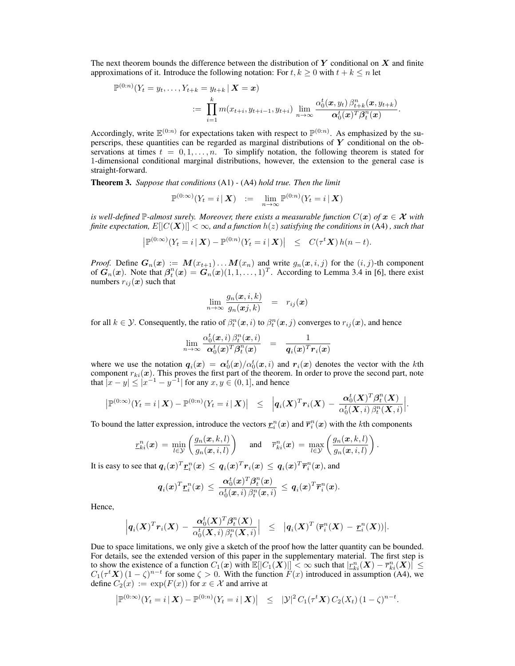The next theorem bounds the difference between the distribution of  $Y$  conditional on  $X$  and finite approximations of it. Introduce the following notation: For  $t, k \geq 0$  with  $t + k \leq n$  let

$$
\mathbb{P}^{(0:n)}(Y_t = y_t, \ldots, Y_{t+k} = y_{t+k} | \mathbf{X} = \mathbf{x}) \n:= \prod_{i=1}^k m(x_{t+i}, y_{t+i-1}, y_{t+i}) \lim_{n \to \infty} \frac{\alpha_0^t(\mathbf{x}, y_t) \, \beta_{t+k}^n(\mathbf{x}, y_{t+k})}{\alpha_0^t(\mathbf{x})^T \beta_t^n(\mathbf{x})}.
$$

Accordingly, write  $\mathbb{E}^{(0:n)}$  for expectations taken with respect to  $\mathbb{P}^{(0:n)}$ . As emphasized by the superscrips, these quantities can be regarded as marginal distributions of  $Y$  conditional on the observations at times  $t = 0, 1, \ldots, n$ . To simplify notation, the following theorem is stated for 1-dimensional conditional marginal distributions, however, the extension to the general case is straight-forward.

Theorem 3. *Suppose that conditions* (A1) *-* (A4) *hold true. Then the limit*

$$
\mathbb{P}^{(0:\infty)}(Y_t=i\,|\,\mathbf{X})\quad :=\quad \lim_{n\to\infty}\mathbb{P}^{(0:n)}(Y_t=i\,|\,\mathbf{X})
$$

*is well-defined*  $\mathbb{P}$ *-almost surely. Moreover, there exists a measurable function*  $C(\mathbf{x})$  *of*  $\mathbf{x} \in \mathcal{X}$  *with finite expectation,*  $E[|C(X)|] < \infty$ *, and a function*  $h(z)$  *satisfying the conditions in* (A4), *such that* 

$$
\left|\mathbb{P}^{(0:\infty)}(Y_t=i\,|\,\mathbf{X})-\mathbb{P}^{(0:n)}(Y_t=i\,|\,\mathbf{X})\right| \leq C(\tau^t\mathbf{X})\,h(n-t).
$$

*Proof.* Define  $G_n(x) := M(x_{t+1}) \dots M(x_n)$  and write  $g_n(x, i, j)$  for the  $(i, j)$ -th component of  $\mathbf{G}_n(x)$ . Note that  $\beta_i^n(x) = \mathbf{G}_n(x)(1,1,\ldots,1)^T$ . According to Lemma 3.4 in [6], there exist numbers  $r_{ij}(\boldsymbol{x})$  such that

$$
\lim_{n\to\infty}\frac{g_n(\bm{x},i,k)}{g_n(\bm{xj},k)} \quad = \quad r_{ij}(\bm{x})
$$

for all  $k \in \mathcal{Y}$ . Consequently, the ratio of  $\beta_t^n(\bm{x}, i)$  to  $\beta_t^n(\bm{x}, j)$  converges to  $r_{ij}(\bm{x})$ , and hence

$$
\lim_{n \to \infty} \frac{\alpha_0^t(\boldsymbol{x},i) \,\beta_t^n(\boldsymbol{x},i)}{\boldsymbol{\alpha}_0^t(\boldsymbol{x})^T \boldsymbol{\beta}_t^n(\boldsymbol{x})} \;\; = \;\; \frac{1}{\boldsymbol{q}_i(\boldsymbol{x})^T \boldsymbol{r}_i(\boldsymbol{x})}
$$

where we use the notation  $q_i(x) = \alpha_0^t(x)/\alpha_0^t(x, i)$  and  $r_i(x)$  denotes the vector with the kth component  $r_{ki}(\mathbf{x})$ . This proves the first part of the theorem. In order to prove the second part, note that  $|x-y| \le |x^{-1} - y^{-1}|$  for any  $x, y \in (0, 1]$ , and hence

$$
\left|\mathbb{P}^{(0:\infty)}(Y_t=i\,|\,\mathbf{X})-\mathbb{P}^{(0:n)}(Y_t=i\,|\,\mathbf{X})\right| \leq \left|q_i(\mathbf{X})^T\mathbf{r}_i(\mathbf{X})-\frac{\alpha_0^t(\mathbf{X})^T\beta_t^n(\mathbf{X})}{\alpha_0^t(\mathbf{X},i)\,\beta_t^n(\mathbf{X},i)}\right|.
$$

To bound the latter expression, introduce the vectors  $\underline{r}_i^n(x)$  and  $\overline{r}_i^n(x)$  with the *k*th components

$$
\underline{r}_{ki}^n(\boldsymbol{x}) = \min_{l \in \mathcal{Y}} \left( \frac{g_n(\boldsymbol{x}, k, l)}{g_n(\boldsymbol{x}, i, l)} \right) \quad \text{and} \quad \overline{r}_{ki}^n(\boldsymbol{x}) = \max_{l \in \mathcal{Y}} \left( \frac{g_n(\boldsymbol{x}, k, l)}{g_n(\boldsymbol{x}, i, l)} \right).
$$

It is easy to see that  $q_i(x)^T \underline{r}_i^n(x) \, \leq \, q_i(x)^T r_i(x) \, \leq \, q_i(x)^T \overline{r}_i^n(x),$  and

$$
\boldsymbol{q}_i(\boldsymbol{x})^T \boldsymbol{\underline{r}}_i^n(\boldsymbol{x}) \, \le \, \frac{\boldsymbol{\alpha}_0^t(\boldsymbol{x})^T \boldsymbol{\beta}_t^n(\boldsymbol{x})}{\alpha_0^t(\boldsymbol{x},i) \, \beta_t^n(\boldsymbol{x},i)} \, \le \, \boldsymbol{q}_i(\boldsymbol{x})^T \overline{\boldsymbol{r}}_i^n(\boldsymbol{x}).
$$

Hence,

$$
\Big|q_i(\boldsymbol{X})^T\boldsymbol{r}_i(\boldsymbol{X})\,-\,\frac{\boldsymbol{\alpha}_0^t(\boldsymbol{X})^T\boldsymbol{\beta}_t^n(\boldsymbol{X})}{\alpha_0^t(\boldsymbol{X},i)\,\beta_t^n(\boldsymbol{X},i)}\Big|\quad\leq\quad\big|q_i(\boldsymbol{X})^T\left(\overline{\boldsymbol{r}}_i^n(\boldsymbol{X})\,-\,\underline{\boldsymbol{r}}_i^n(\boldsymbol{X})\right)\Big|.
$$

Due to space limitations, we only give a sketch of the proof how the latter quantity can be bounded. For details, see the extended version of this paper in the supplementary material. The first step is to show the existence of a function  $C_1(x)$  with  $\mathbb{E}[|C_1(X)|] < \infty$  such that  $|r_{ki}^n(X) - \overline{r}_{ki}^n(X)| \leq$  $C_1(\tau^t X) (1 - \zeta)^{n-t}$  for some  $\zeta > 0$ . With the function  $F(x)$  introduced in assumption (A4), we define  $C_2(x) := \exp(F(x))$  for  $x \in \mathcal{X}$  and arrive at

$$
\left| \mathbb{P}^{(0:\infty)}(Y_t = i \,|\, \mathbf{X}) - \mathbb{P}^{(0:n)}(Y_t = i \,|\, \mathbf{X}) \right| \leq |\mathcal{Y}|^2 \, C_1(\tau^t \mathbf{X}) \, C_2(X_t) \, (1 - \zeta)^{n - t}.
$$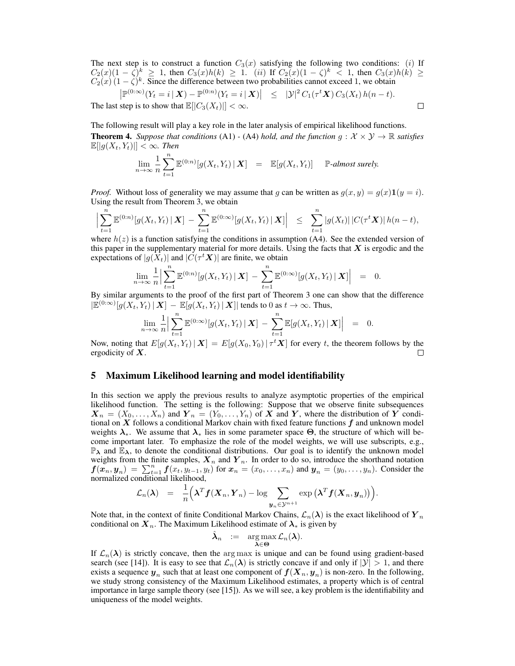The next step is to construct a function  $C_3(x)$  satisfying the following two conditions: (i) If  $C_2(x)(1-\zeta)^k \geq 1$ , then  $C_3(x)h(k) \geq 1$ . (ii) If  $C_2(x)(1-\zeta)^k < 1$ , then  $C_3(x)h(k) \geq 1$  $C_2(x)(1-\zeta)^k$ . Since the difference between two probabilities cannot exceed 1, we obtain

$$
\left|\mathbb{P}^{(0:\infty)}(Y_t=i\,|\,\mathbf{X})-\mathbb{P}^{(0:n)}(Y_t=i\,|\,\mathbf{X})\right| \leq |\mathcal{Y}|^2 C_1(\tau^t\mathbf{X}) C_3(X_t) h(n-t).
$$
\nThe last step is to show that  $\mathbb{E}[[C_3(X_t)]] < \infty$ .

The following result will play a key role in the later analysis of empirical likelihood functions. **Theorem 4.** *Suppose that conditions* (A1) *-* (A4) *hold, and the function*  $g : \mathcal{X} \times \mathcal{Y} \rightarrow \mathbb{R}$  *satisfies*  $\mathbb{E}[|g(X_t, Y_t)|] < \infty$ . Then

$$
\lim_{n\to\infty}\frac{1}{n}\sum_{t=1}^n\mathbb{E}^{(0:n)}[g(X_t,Y_t) | \mathbf{X}] = \mathbb{E}[g(X_t,Y_t)] \quad \mathbb{P}\text{-almost surely.}
$$

*Proof.* Without loss of generality we may assume that g can be written as  $g(x, y) = g(x) \mathbf{1}(y = i)$ . Using the result from Theorem 3, we obtain

$$
\Big|\sum_{t=1}^n \mathbb{E}^{(0:n)}[g(X_t,Y_t) | \mathbf{X}] - \sum_{t=1}^n \mathbb{E}^{(0:\infty)}[g(X_t,Y_t) | \mathbf{X}] \Big| \leq \sum_{t=1}^n |g(X_t)| |C(\tau^t \mathbf{X})| h(n-t),
$$

where  $h(z)$  is a function satisfying the conditions in assumption (A4). See the extended version of this paper in the supplementary material for more details. Using the facts that  $X$  is ergodic and the expectations of  $|g(X_t)|$  and  $|\tilde{C}(\tau^t X)|$  are finite, we obtain

$$
\lim_{n\to\infty}\frac{1}{n}\Big|\sum_{t=1}^n\mathbb{E}^{(0:n)}[g(X_t,Y_t)|\mathbf{X}]-\sum_{t=1}^n\mathbb{E}^{(0:\infty)}[g(X_t,Y_t)|\mathbf{X}]\Big| = 0.
$$

By similar arguments to the proof of the first part of Theorem 3 one can show that the difference  $|\mathbb{E}^{(0:\infty)}[g(X_t,Y_t) | \mathbf{X}] - \mathbb{E}[g(X_t,Y_t) | \mathbf{X}]|$  tends to 0 as  $t \to \infty$ . Thus,

$$
\lim_{n\to\infty}\frac{1}{n}\Big|\sum_{t=1}^n\mathbb{E}^{(0:\infty)}[g(X_t,Y_t)|\mathbf{X}]-\sum_{t=1}^n\mathbb{E}[g(X_t,Y_t)|\mathbf{X}]\Big| = 0.
$$

Now, noting that  $E[g(X_t, Y_t) | X] = E[g(X_0, Y_0) | \tau^t X]$  for every t, the theorem follows by the ergodicity of  $X$ .  $\Box$ 

#### 5 Maximum Likelihood learning and model identifiability

In this section we apply the previous results to analyze asymptotic properties of the empirical likelihood function. The setting is the following: Suppose that we observe finite subsequences  $\mathbf{X}_n = (X_0, \ldots, X_n)$  and  $\mathbf{Y}_n = (Y_0, \ldots, Y_n)$  of X and Y, where the distribution of Y conditional on  $X$  follows a conditional Markov chain with fixed feature functions  $f$  and unknown model weights  $\lambda_*$ . We assume that  $\lambda_*$  lies in some parameter space  $\Theta$ , the structure of which will become important later. To emphasize the role of the model weights, we will use subscripts, e.g.,  $\mathbb{P}_{\lambda}$  and  $\mathbb{E}_{\lambda}$ , to denote the conditional distributions. Our goal is to identify the unknown model weights from the finite samples,  $X_n$  and  $Y_n$ . In order to do so, introduce the shorthand notation  $f(\mathbf{x}_n, \mathbf{y}_n) = \sum_{t=1}^n f(x_t, y_{t-1}, y_t)$  for  $\mathbf{x}_n = (x_0, \dots, x_n)$  and  $\mathbf{y}_n = (y_0, \dots, y_n)$ . Consider the normalized conditional likelihood,

$$
\mathcal{L}_n(\boldsymbol{\lambda}) = \frac{1}{n} \Big( \boldsymbol{\lambda}^T \boldsymbol{f}(\boldsymbol{X}_n, \boldsymbol{Y}_n) - \log \sum_{\boldsymbol{y}_n \in \mathcal{Y}^{n+1}} \exp \big( \boldsymbol{\lambda}^T \boldsymbol{f}(\boldsymbol{X}_n, \boldsymbol{y}_n) \big) \Big).
$$

Note that, in the context of finite Conditional Markov Chains,  $\mathcal{L}_n(\lambda)$  is the exact likelihood of  $\mathbf{Y}_n$ conditional on  $X_n$ . The Maximum Likelihood estimate of  $\lambda_*$  is given by

$$
\hat{\boldsymbol{\lambda}}_n \ := \ \ \argmax_{\boldsymbol{\lambda} \in \boldsymbol{\Theta}} \mathcal{L}_n(\boldsymbol{\lambda}).
$$

If  $\mathcal{L}_n(\lambda)$  is strictly concave, then the arg max is unique and can be found using gradient-based search (see [14]). It is easy to see that  $\mathcal{L}_n(\lambda)$  is strictly concave if and only if  $|\mathcal{Y}| > 1$ , and there exists a sequence  $y_n$  such that at least one component of  $f(X_n, y_n)$  is non-zero. In the following, we study strong consistency of the Maximum Likelihood estimates, a property which is of central importance in large sample theory (see [15]). As we will see, a key problem is the identifiability and uniqueness of the model weights.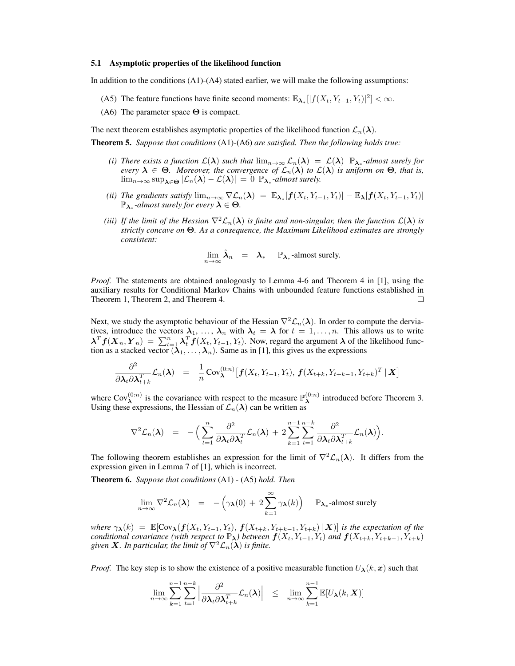#### 5.1 Asymptotic properties of the likelihood function

In addition to the conditions (A1)-(A4) stated earlier, we will make the following assumptions:

- (A5) The feature functions have finite second moments:  $\mathbb{E}_{\lambda_*}[|f(X_t,Y_{t-1},Y_t)|^2] < \infty$ .
- (A6) The parameter space  $\Theta$  is compact.

The next theorem establishes asymptotic properties of the likelihood function  $\mathcal{L}_n(\lambda)$ .

Theorem 5. *Suppose that conditions* (A1)-(A6) *are satisfied. Then the following holds true:*

- *(i) There exists a function*  $\mathcal{L}(\lambda)$  *such that*  $\lim_{n\to\infty} \mathcal{L}_n(\lambda) = \mathcal{L}(\lambda)$   $\mathbb{P}_{\lambda_*}$ -almost surely for *every*  $\lambda \in \Theta$ . Moreover, the convergence of  $\mathcal{L}_n(\lambda)$  to  $\mathcal{L}(\lambda)$  is uniform on  $\Theta$ , that is,  $\lim_{n\to\infty} \sup_{\lambda \in \Theta} |\mathcal{L}_n(\lambda) - \mathcal{L}(\lambda)| = 0$   $\mathbb{P}_{\lambda_*}$ *-almost surely.*
- *(ii) The gradients satisfy*  $\lim_{n\to\infty} \nabla \mathcal{L}_n(\lambda) = \mathbb{E}_{\lambda_*}[f(X_t, Y_{t-1}, Y_t)] \mathbb{E}_{\lambda}[f(X_t, Y_{t-1}, Y_t)]$  $\mathbb{P}_{\lambda_*}$ *-almost surely for every*  $\lambda \in \Theta$ .
- *(iii)* If the limit of the Hessian  $\nabla^2 \mathcal{L}_n(\lambda)$  *is finite and non-singular, then the function*  $\mathcal{L}(\lambda)$  *is strictly concave on* Θ*. As a consequence, the Maximum Likelihood estimates are strongly consistent:*

$$
\lim_{n \to \infty} \hat{\lambda}_n = \lambda_* \quad \mathbb{P}_{\lambda_*} \text{-almost surely.}
$$

*Proof.* The statements are obtained analogously to Lemma 4-6 and Theorem 4 in [1], using the auxiliary results for Conditional Markov Chains with unbounded feature functions established in Theorem 1, Theorem 2, and Theorem 4.  $\Box$ 

Next, we study the asymptotic behaviour of the Hessian  $\nabla^2 \mathcal{L}_n(\lambda)$ . In order to compute the derviatives, introduce the vectors  $\lambda_1, \ldots, \lambda_n$  with  $\lambda_t = \lambda$  for  $t = 1, \ldots, n$ . This allows us to write  $\lambda^T f(X_n, Y_n) = \sum_{t=1}^n \lambda_t^T f(X_t, Y_{t-1}, Y_t)$ . Now, regard the argument  $\lambda$  of the likelihood function as a stacked vector  $(\lambda_1, \dots, \lambda_n)$ . Same as in [1], this gives us the expressions

$$
\frac{\partial^2}{\partial \boldsymbol{\lambda}_t \partial \boldsymbol{\lambda}_{t+k}^T} \mathcal{L}_n(\boldsymbol{\lambda}) = \frac{1}{n} \text{Cov}_{\boldsymbol{\lambda}}^{(0:n)} \big[ \boldsymbol{f}(X_t, Y_{t-1}, Y_t), \boldsymbol{f}(X_{t+k}, Y_{t+k-1}, Y_{t+k})^T \,|\, \boldsymbol{X} \big]
$$

where Cov $_{\lambda}^{(0:n)}$  is the covariance with respect to the measure  $\mathbb{P}_{\lambda}^{(0:n)}$  $\lambda^{(0:n)}$  introduced before Theorem 3. Using these expressions, the Hessian of  $\mathcal{L}_n(\lambda)$  can be written as

$$
\nabla^2 \mathcal{L}_n(\boldsymbol{\lambda}) = -\Big(\sum_{t=1}^n \frac{\partial^2}{\partial \boldsymbol{\lambda}_t \partial \boldsymbol{\lambda}_t^T} \mathcal{L}_n(\boldsymbol{\lambda}) + 2 \sum_{k=1}^{n-1} \sum_{t=1}^{n-k} \frac{\partial^2}{\partial \boldsymbol{\lambda}_t \partial \boldsymbol{\lambda}_{t+k}^T} \mathcal{L}_n(\boldsymbol{\lambda})\Big).
$$

The following theorem establishes an expression for the limit of  $\nabla^2 \mathcal{L}_n(\lambda)$ . It differs from the expression given in Lemma 7 of [1], which is incorrect.

Theorem 6. *Suppose that conditions* (A1) - (A5) *hold. Then*

$$
\lim_{n \to \infty} \nabla^2 \mathcal{L}_n(\lambda) = -\left(\gamma_{\lambda}(0) + 2 \sum_{k=1}^{\infty} \gamma_{\lambda}(k)\right) \quad \mathbb{P}_{\lambda_*} \text{-almost surely}
$$

*where*  $\gamma_{\lambda}(k) = \mathbb{E}[\text{Cov}_{\lambda}(f(X_t, Y_{t-1}, Y_t), f(X_{t+k}, Y_{t+k-1}, Y_{t+k}) | X)]$  *is the expectation of the conditional covariance (with respect to*  $\mathbb{P}_{\lambda}$ ) *between*  $f(X_t, Y_{t-1}, Y_t)$  *and*  $f(X_{t+k}, Y_{t+k-1}, Y_{t+k})$ *given* **X**. In particular, the limit of  $\nabla^2 \mathcal{L}_n(\lambda)$  is finite.

*Proof.* The key step is to show the existence of a positive measurable function  $U_{\lambda}(k, x)$  such that

$$
\lim_{n\to\infty}\sum_{k=1}^{n-1}\sum_{t=1}^{n-k}\left|\frac{\partial^2}{\partial \lambda_t \partial \lambda_{t+k}^T}\mathcal{L}_n(\boldsymbol{\lambda})\right| \leq \lim_{n\to\infty}\sum_{k=1}^{n-1}\mathbb{E}[U_{\boldsymbol{\lambda}}(k,\boldsymbol{X})]
$$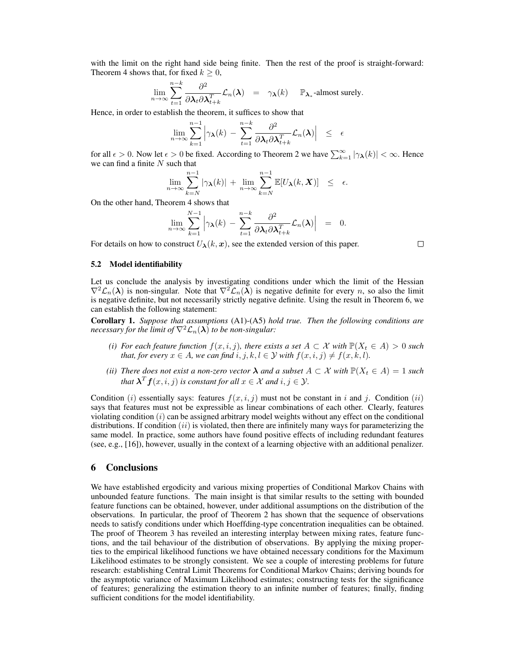with the limit on the right hand side being finite. Then the rest of the proof is straight-forward: Theorem 4 shows that, for fixed  $k \geq 0$ ,

$$
\lim_{n \to \infty} \sum_{t=1}^{n-k} \frac{\partial^2}{\partial \lambda_t \partial \lambda_{t+k}^T} \mathcal{L}_n(\lambda) = \gamma_\lambda(k) \quad \mathbb{P}_{\lambda_*} \text{-almost surely.}
$$

Hence, in order to establish the theorem, it suffices to show that

$$
\lim_{n\to\infty}\sum_{k=1}^{n-1}\left|\gamma_{\boldsymbol{\lambda}}(k)\,-\,\sum_{t=1}^{n-k}\frac{\partial^2}{\partial \boldsymbol{\lambda}_t\partial \boldsymbol{\lambda}_{t+k}^T}\mathcal{L}_n(\boldsymbol{\lambda})\right|\;\,\leq\;\,\epsilon
$$

for all  $\epsilon > 0$ . Now let  $\epsilon > 0$  be fixed. According to Theorem 2 we have  $\sum_{k=1}^{\infty} |\gamma_{\bm{\lambda}}(k)| < \infty$ . Hence we can find a finite  $N$  such that

$$
\lim_{n\to\infty}\sum_{k=N}^{n-1}|\gamma_{\boldsymbol{\lambda}}(k)|+\lim_{n\to\infty}\sum_{k=N}^{n-1}\mathbb{E}[U_{\boldsymbol{\lambda}}(k,\boldsymbol{X})] \leq \epsilon.
$$

On the other hand, Theorem 4 shows that

$$
\lim_{n\to\infty}\sum_{k=1}^{N-1}\left|\gamma_{\boldsymbol{\lambda}}(k)\,-\,\sum_{t=1}^{n-k}\frac{\partial^2}{\partial \boldsymbol{\lambda}_t\partial \boldsymbol{\lambda}_{t+k}^T}\mathcal{L}_n(\boldsymbol{\lambda})\right| \;\;=\;\; 0.
$$

For details on how to construct  $U_{\lambda}(k, x)$ , see the extended version of this paper.

 $\Box$ 

#### 5.2 Model identifiability

Let us conclude the analysis by investigating conditions under which the limit of the Hessian  $\nabla^2 \mathcal{L}_n(\lambda)$  is non-singular. Note that  $\nabla^2 \mathcal{L}_n(\lambda)$  is negative definite for every n, so also the limit is negative definite, but not necessarily strictly negative definite. Using the result in Theorem 6, we can establish the following statement:

Corollary 1. *Suppose that assumptions* (A1)-(A5) *hold true. Then the following conditions are necessary for the limit of*  $\nabla^2 \mathcal{L}_n(\lambda)$  *to be non-singular:* 

- *(i)* For each feature function  $f(x, i, j)$ , there exists a set  $A \subset \mathcal{X}$  with  $\mathbb{P}(X_t \in A) > 0$  such *that, for every*  $x \in A$ *, we can find*  $i, j, k, l \in Y$  *with*  $f(x, i, j) \neq f(x, k, l)$ *.*
- *(ii) There does not exist a non-zero vector*  $\lambda$  *and a subset*  $A \subset \mathcal{X}$  *with*  $\mathbb{P}(X_t \in A) = 1$  *such that*  $\boldsymbol{\lambda}^T \boldsymbol{f}(x,i,j)$  *is constant for all*  $x \in \mathcal{X}$  *and*  $i, j \in \mathcal{Y}$ *.*

Condition (i) essentially says: features  $f(x, i, j)$  must not be constant in i and j. Condition (ii) says that features must not be expressible as linear combinations of each other. Clearly, features violating condition  $(i)$  can be assigned arbitrary model weights without any effect on the conditional distributions. If condition  $(ii)$  is violated, then there are infinitely many ways for parameterizing the same model. In practice, some authors have found positive effects of including redundant features (see, e.g., [16]), however, usually in the context of a learning objective with an additional penalizer.

## 6 Conclusions

We have established ergodicity and various mixing properties of Conditional Markov Chains with unbounded feature functions. The main insight is that similar results to the setting with bounded feature functions can be obtained, however, under additional assumptions on the distribution of the observations. In particular, the proof of Theorem 2 has shown that the sequence of observations needs to satisfy conditions under which Hoeffding-type concentration inequalities can be obtained. The proof of Theorem 3 has reveiled an interesting interplay between mixing rates, feature functions, and the tail behaviour of the distribution of observations. By applying the mixing properties to the empirical likelihood functions we have obtained necessary conditions for the Maximum Likelihood estimates to be strongly consistent. We see a couple of interesting problems for future research: establishing Central Limit Theorems for Conditional Markov Chains; deriving bounds for the asymptotic variance of Maximum Likelihood estimates; constructing tests for the significance of features; generalizing the estimation theory to an infinite number of features; finally, finding sufficient conditions for the model identifiability.